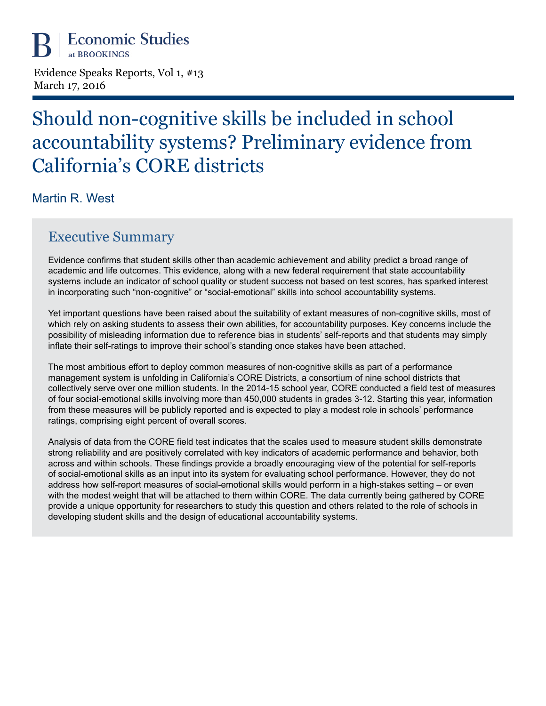Evidence Speaks Reports, Vol 1, #13 March 17, 2016

# Should non-cognitive skills be included in school accountability systems? Preliminary evidence from California's CORE districts

Martin R. West

## Executive Summary

Evidence confirms that student skills other than academic achievement and ability predict a broad range of academic and life outcomes. This evidence, along with a new federal requirement that state accountability systems include an indicator of school quality or student success not based on test scores, has sparked interest in incorporating such "non-cognitive" or "social-emotional" skills into school accountability systems.

Yet important questions have been raised about the suitability of extant measures of non-cognitive skills, most of which rely on asking students to assess their own abilities, for accountability purposes. Key concerns include the possibility of misleading information due to reference bias in students' self-reports and that students may simply inflate their self-ratings to improve their school's standing once stakes have been attached.

The most ambitious effort to deploy common measures of non-cognitive skills as part of a performance management system is unfolding in California's CORE Districts, a consortium of nine school districts that collectively serve over one million students. In the 2014-15 school year, CORE conducted a field test of measures of four social-emotional skills involving more than 450,000 students in grades 3-12. Starting this year, information from these measures will be publicly reported and is expected to play a modest role in schools' performance ratings, comprising eight percent of overall scores.

Analysis of data from the CORE field test indicates that the scales used to measure student skills demonstrate strong reliability and are positively correlated with key indicators of academic performance and behavior, both across and within schools. These findings provide a broadly encouraging view of the potential for self-reports of social-emotional skills as an input into its system for evaluating school performance. However, they do not address how self-report measures of social-emotional skills would perform in a high-stakes setting – or even with the modest weight that will be attached to them within CORE. The data currently being gathered by CORE provide a unique opportunity for researchers to study this question and others related to the role of schools in developing student skills and the design of educational accountability systems.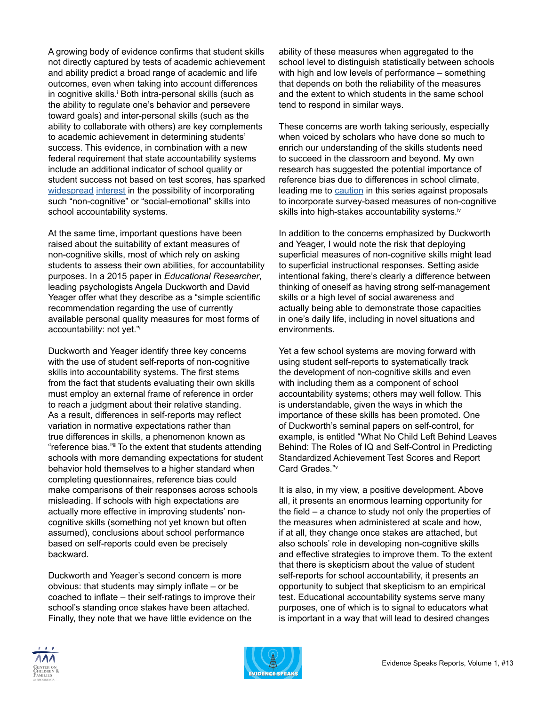A growing body of evidence confirms that student skills not directly captured by tests of academic achievement and ability predict a broad range of academic and life outcomes, even when taking into account differences in cognitive skills.<sup>i</sup> Both intra-personal skills (such as the ability to regulate one's behavior and persevere toward goals) and inter-personal skills (such as the ability to collaborate with others) are key complements to academic achievement in determining students' success. This evidence, in combination with a new federal requirement that state accountability systems include an additional indicator of school quality or student success not based on test scores, has sparked [widespread](http://www.nytimes.com/2016/03/01/us/testing-for-joy-and-grit-schools-nationwide-push-to-measure-students-emotional-skills.html?hp&action=click&pgtype=Homepage&clickSource=story-heading&module=second-column-region®ion=top-news&WT.nav=top-news&_r=2) [interest](http://www.theatlantic.com/education/archive/2016/03/when-social-and-emotional-learning-is-key-to-college-success/471813/) in the possibility of incorporating such "non-cognitive" or "social-emotional" skills into school accountability systems.

At the same time, important questions have been raised about the suitability of extant measures of non-cognitive skills, most of which rely on asking students to assess their own abilities, for accountability purposes. In a 2015 paper in *Educational Researcher*, leading psychologists Angela Duckworth and David Yeager offer what they describe as a "simple scientific recommendation regarding the use of currently available personal quality measures for most forms of accountability: not yet."ii

Duckworth and Yeager identify three key concerns with the use of student self-reports of non-cognitive skills into accountability systems. The first stems from the fact that students evaluating their own skills must employ an external frame of reference in order to reach a judgment about their relative standing. As a result, differences in self-reports may reflect variation in normative expectations rather than true differences in skills, a phenomenon known as "reference bias."iii To the extent that students attending schools with more demanding expectations for student behavior hold themselves to a higher standard when completing questionnaires, reference bias could make comparisons of their responses across schools misleading. If schools with high expectations are actually more effective in improving students' noncognitive skills (something not yet known but often assumed), conclusions about school performance based on self-reports could even be precisely backward.

Duckworth and Yeager's second concern is more obvious: that students may simply inflate – or be coached to inflate – their self-ratings to improve their school's standing once stakes have been attached. Finally, they note that we have little evidence on the

ability of these measures when aggregated to the school level to distinguish statistically between schools with high and low levels of performance – something that depends on both the reliability of the measures and the extent to which students in the same school tend to respond in similar ways.

These concerns are worth taking seriously, especially when voiced by scholars who have done so much to enrich our understanding of the skills students need to succeed in the classroom and beyond. My own research has suggested the potential importance of reference bias due to differences in school climate, leading me to [caution](http://www.brookings.edu/research/papers/2014/12/18-chalkboard-non-cognitive-west) in this series against proposals to incorporate survey-based measures of non-cognitive skills into high-stakes accountability systems.<sup>iv</sup>

In addition to the concerns emphasized by Duckworth and Yeager, I would note the risk that deploying superficial measures of non-cognitive skills might lead to superficial instructional responses. Setting aside intentional faking, there's clearly a difference between thinking of oneself as having strong self-management skills or a high level of social awareness and actually being able to demonstrate those capacities in one's daily life, including in novel situations and environments.

Yet a few school systems are moving forward with using student self-reports to systematically track the development of non-cognitive skills and even with including them as a component of school accountability systems; others may well follow. This is understandable, given the ways in which the importance of these skills has been promoted. One of Duckworth's seminal papers on self-control, for example, is entitled "What No Child Left Behind Leaves Behind: The Roles of IQ and Self-Control in Predicting Standardized Achievement Test Scores and Report Card Grades."<sup>v</sup>

It is also, in my view, a positive development. Above all, it presents an enormous learning opportunity for the field – a chance to study not only the properties of the measures when administered at scale and how, if at all, they change once stakes are attached, but also schools' role in developing non-cognitive skills and effective strategies to improve them. To the extent that there is skepticism about the value of student self-reports for school accountability, it presents an opportunity to subject that skepticism to an empirical test. Educational accountability systems serve many purposes, one of which is to signal to educators what is important in a way that will lead to desired changes



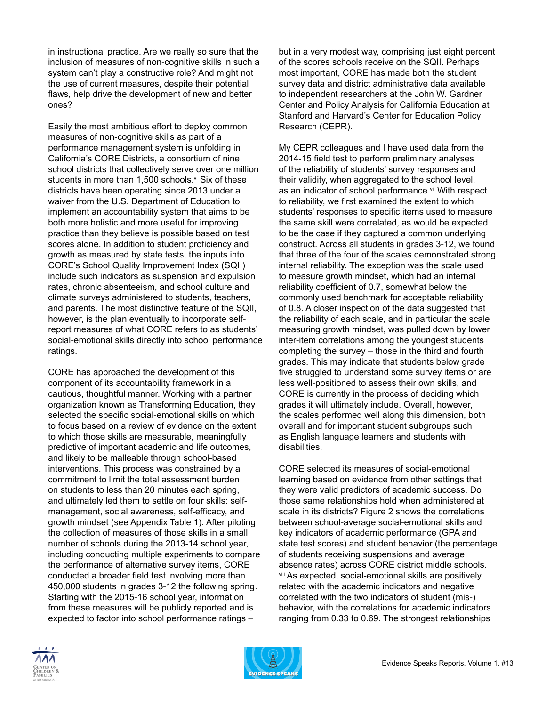in instructional practice. Are we really so sure that the inclusion of measures of non-cognitive skills in such a system can't play a constructive role? And might not the use of current measures, despite their potential flaws, help drive the development of new and better ones?

Easily the most ambitious effort to deploy common measures of non-cognitive skills as part of a performance management system is unfolding in California's CORE Districts, a consortium of nine school districts that collectively serve over one million students in more than 1,500 schools. $vi$  Six of these districts have been operating since 2013 under a waiver from the U.S. Department of Education to implement an accountability system that aims to be both more holistic and more useful for improving practice than they believe is possible based on test scores alone. In addition to student proficiency and growth as measured by state tests, the inputs into CORE's School Quality Improvement Index (SQII) include such indicators as suspension and expulsion rates, chronic absenteeism, and school culture and climate surveys administered to students, teachers, and parents. The most distinctive feature of the SQII, however, is the plan eventually to incorporate selfreport measures of what CORE refers to as students' social-emotional skills directly into school performance ratings.

CORE has approached the development of this component of its accountability framework in a cautious, thoughtful manner. Working with a partner organization known as Transforming Education, they selected the specific social-emotional skills on which to focus based on a review of evidence on the extent to which those skills are measurable, meaningfully predictive of important academic and life outcomes, and likely to be malleable through school-based interventions. This process was constrained by a commitment to limit the total assessment burden on students to less than 20 minutes each spring, and ultimately led them to settle on four skills: selfmanagement, social awareness, self-efficacy, and growth mindset (see Appendix Table 1). After piloting the collection of measures of those skills in a small number of schools during the 2013-14 school year, including conducting multiple experiments to compare the performance of alternative survey items, CORE conducted a broader field test involving more than 450,000 students in grades 3-12 the following spring. Starting with the 2015-16 school year, information from these measures will be publicly reported and is expected to factor into school performance ratings –

but in a very modest way, comprising just eight percent of the scores schools receive on the SQII. Perhaps most important, CORE has made both the student survey data and district administrative data available to independent researchers at the John W. Gardner Center and Policy Analysis for California Education at Stanford and Harvard's Center for Education Policy Research (CEPR).

My CEPR colleagues and I have used data from the 2014-15 field test to perform preliminary analyses of the reliability of students' survey responses and their validity, when aggregated to the school level, as an indicator of school performance.vii With respect to reliability, we first examined the extent to which students' responses to specific items used to measure the same skill were correlated, as would be expected to be the case if they captured a common underlying construct. Across all students in grades 3-12, we found that three of the four of the scales demonstrated strong internal reliability. The exception was the scale used to measure growth mindset, which had an internal reliability coefficient of 0.7, somewhat below the commonly used benchmark for acceptable reliability of 0.8. A closer inspection of the data suggested that the reliability of each scale, and in particular the scale measuring growth mindset, was pulled down by lower inter-item correlations among the youngest students completing the survey – those in the third and fourth grades. This may indicate that students below grade five struggled to understand some survey items or are less well-positioned to assess their own skills, and CORE is currently in the process of deciding which grades it will ultimately include. Overall, however, the scales performed well along this dimension, both overall and for important student subgroups such as English language learners and students with disabilities.

CORE selected its measures of social-emotional learning based on evidence from other settings that they were valid predictors of academic success. Do those same relationships hold when administered at scale in its districts? Figure 2 shows the correlations between school-average social-emotional skills and key indicators of academic performance (GPA and state test scores) and student behavior (the percentage of students receiving suspensions and average absence rates) across CORE district middle schools. viii As expected, social-emotional skills are positively related with the academic indicators and negative correlated with the two indicators of student (mis-) behavior, with the correlations for academic indicators ranging from 0.33 to 0.69. The strongest relationships



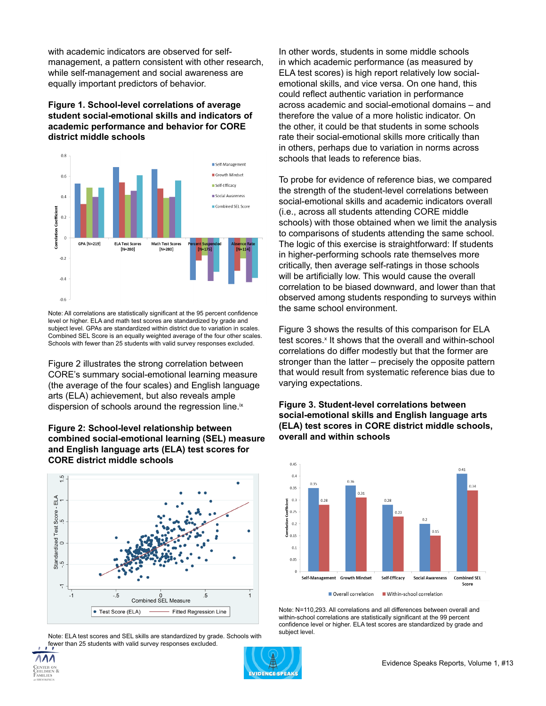with academic indicators are observed for selfmanagement, a pattern consistent with other research, while self-management and social awareness are equally important predictors of behavior.

#### **Figure 1. School-level correlations of average student social-emotional skills and indicators of academic performance and behavior for CORE district middle schools**



Note: All correlations are statistically significant at the 95 percent confidence level or higher. ELA and math test scores are standardized by grade and subject level. GPAs are standardized within district due to variation in scales. Combined SEL Score is an equally weighted average of the four other scales. Schools with fewer than 25 students with valid survey responses excluded.

Figure 2 illustrates the strong correlation between CORE's summary social-emotional learning measure (the average of the four scales) and English language arts (ELA) achievement, but also reveals ample dispersion of schools around the regression line.<sup>ix</sup>





Note: ELA test scores and SEL skills are standardized by grade. Schools with fewer than 25 students with valid survey responses excluded.

In other words, students in some middle schools in which academic performance (as measured by ELA test scores) is high report relatively low socialemotional skills, and vice versa. On one hand, this could reflect authentic variation in performance across academic and social-emotional domains – and therefore the value of a more holistic indicator. On the other, it could be that students in some schools rate their social-emotional skills more critically than in others, perhaps due to variation in norms across schools that leads to reference bias.

To probe for evidence of reference bias, we compared the strength of the student-level correlations between social-emotional skills and academic indicators overall (i.e., across all students attending CORE middle schools) with those obtained when we limit the analysis to comparisons of students attending the same school. The logic of this exercise is straightforward: If students in higher-performing schools rate themselves more critically, then average self-ratings in those schools will be artificially low. This would cause the overall correlation to be biased downward, and lower than that observed among students responding to surveys within the same school environment.

Figure 3 shows the results of this comparison for ELA test scores.<sup>x</sup> It shows that the overall and within-school correlations do differ modestly but that the former are stronger than the latter – precisely the opposite pattern that would result from systematic reference bias due to varying expectations.

#### **Figure 3. Student-level correlations between social-emotional skills and English language arts (ELA) test scores in CORE district middle schools, overall and within schools**



Note: N=110,293. All correlations and all differences between overall and within-school correlations are statistically significant at the 99 percent confidence level or higher. ELA test scores are standardized by grade and subject level.

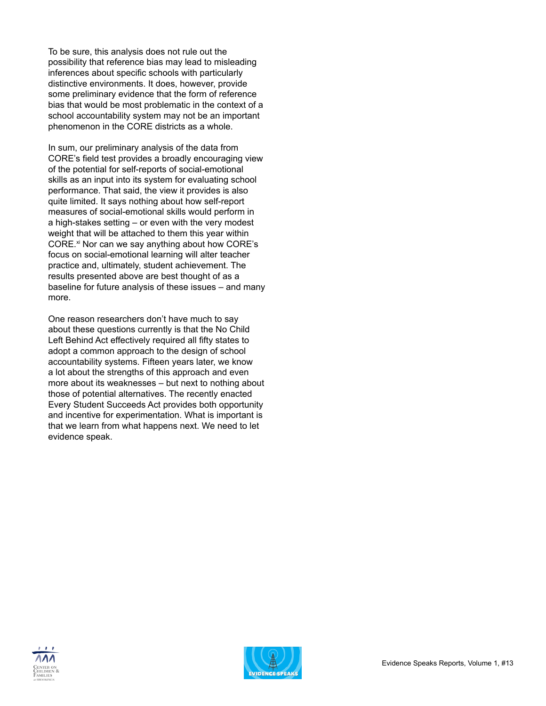To be sure, this analysis does not rule out the possibility that reference bias may lead to misleading inferences about specific schools with particularly distinctive environments. It does, however, provide some preliminary evidence that the form of reference bias that would be most problematic in the context of a school accountability system may not be an important phenomenon in the CORE districts as a whole.

In sum, our preliminary analysis of the data from CORE's field test provides a broadly encouraging view of the potential for self-reports of social-emotional skills as an input into its system for evaluating school performance. That said, the view it provides is also quite limited. It says nothing about how self-report measures of social-emotional skills would perform in a high-stakes setting – or even with the very modest weight that will be attached to them this year within CORE.<sup>xi</sup> Nor can we say anything about how CORE's focus on social-emotional learning will alter teacher practice and, ultimately, student achievement. The results presented above are best thought of as a baseline for future analysis of these issues – and many more.

One reason researchers don't have much to say about these questions currently is that the No Child Left Behind Act effectively required all fifty states to adopt a common approach to the design of school accountability systems. Fifteen years later, we know a lot about the strengths of this approach and even more about its weaknesses – but next to nothing about those of potential alternatives. The recently enacted Every Student Succeeds Act provides both opportunity and incentive for experimentation. What is important is that we learn from what happens next. We need to let evidence speak.



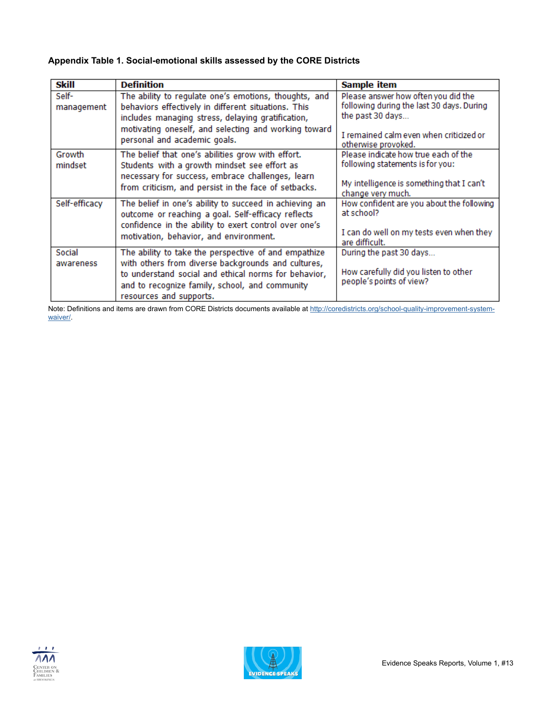### **Appendix Table 1. Social-emotional skills assessed by the CORE Districts**

| <b>Skill</b>        | <b>Definition</b>                                                                                                                                                                                                                                         | <b>Sample item</b>                                                                                                                                                     |
|---------------------|-----------------------------------------------------------------------------------------------------------------------------------------------------------------------------------------------------------------------------------------------------------|------------------------------------------------------------------------------------------------------------------------------------------------------------------------|
| Self-<br>management | The ability to regulate one's emotions, thoughts, and<br>behaviors effectively in different situations. This<br>includes managing stress, delaying gratification,<br>motivating oneself, and selecting and working toward<br>personal and academic goals. | Please answer how often you did the<br>following during the last 30 days. During<br>the past 30 days<br>I remained calm even when criticized or<br>otherwise provoked. |
| Growth<br>mindset   | The belief that one's abilities grow with effort.<br>Students with a growth mindset see effort as<br>necessary for success, embrace challenges, learn<br>from criticism, and persist in the face of setbacks.                                             | Please indicate how true each of the<br>following statements is for you:<br>My intelligence is something that I can't<br>change very much.                             |
| Self-efficacy       | The belief in one's ability to succeed in achieving an<br>outcome or reaching a goal. Self-efficacy reflects<br>confidence in the ability to exert control over one's<br>motivation, behavior, and environment.                                           | How confident are you about the following<br>at school?<br>I can do well on my tests even when they<br>are difficult.                                                  |
| Social<br>awareness | The ability to take the perspective of and empathize<br>with others from diverse backgrounds and cultures,<br>to understand social and ethical norms for behavior,<br>and to recognize family, school, and community<br>resources and supports.           | During the past 30 days<br>How carefully did you listen to other<br>people's points of view?                                                                           |

Note: Definitions and items are drawn from CORE Districts documents available at [http://coredistricts.org/school-quality-improvement-system](http://coredistricts.org/school-quality-improvement-system-waiver/)[waiver/](http://coredistricts.org/school-quality-improvement-system-waiver/).